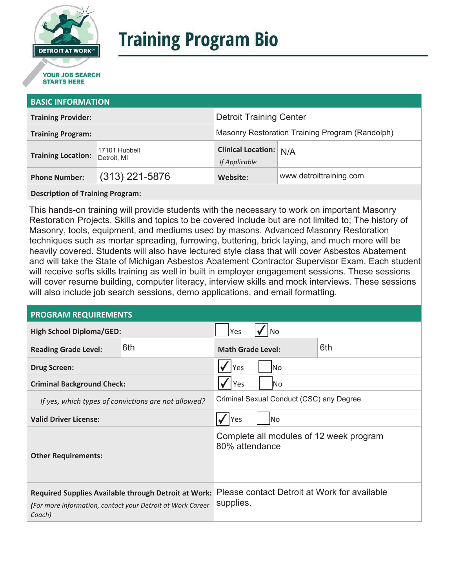

# **Training Program Bio**

## **STARTS HERE**

#### **BASIC INFORMATION**

| <b>Training Provider:</b> |                              | <b>Detroit Training Center</b>                  |                         |
|---------------------------|------------------------------|-------------------------------------------------|-------------------------|
| <b>Training Program:</b>  |                              | Masonry Restoration Training Program (Randolph) |                         |
| <b>Training Location:</b> | 17101 Hubbell<br>Detroit, MI | <b>Clinical Location: N/A</b><br>If Applicable  |                         |
| <b>Phone Number:</b>      | $(313)$ 221-5876             | Website:                                        | www.detroittraining.com |

#### **Description of Training Program:**

This hands-on training will provide students with the necessary to work on important Masonry Restoration Projects. Skills and topics to be covered include but are not limited to; The history of Masonry, tools, equipment, and mediums used by masons. Advanced Masonry Restoration techniques such as mortar spreading, furrowing, buttering, brick laying, and much more will be heavily covered. Students will also have lectured style class that will cover Asbestos Abatement and will take the State of Michigan Asbestos Abatement Contractor Supervisor Exam. Each student will receive softs skills training as well in built in employer engagement sessions. These sessions will cover resume building, computer literacy, interview skills and mock interviews. These sessions will also include job search sessions, demo applications, and email formatting.

#### **PROGRAM REQUIREMENTS**

| <b>High School Diploma/GED:</b>                                                                                                     |     | Yes<br> No                                                |  |  |
|-------------------------------------------------------------------------------------------------------------------------------------|-----|-----------------------------------------------------------|--|--|
| <b>Reading Grade Level:</b>                                                                                                         | 6th | 6th<br><b>Math Grade Level:</b>                           |  |  |
| <b>Drug Screen:</b>                                                                                                                 |     | Yes<br>lNo.                                               |  |  |
| <b>Criminal Background Check:</b>                                                                                                   |     | Yes<br>lNo                                                |  |  |
| If yes, which types of convictions are not allowed?                                                                                 |     | Criminal Sexual Conduct (CSC) any Degree                  |  |  |
| <b>Valid Driver License:</b>                                                                                                        |     | Yes<br><b>No</b>                                          |  |  |
| <b>Other Requirements:</b>                                                                                                          |     | Complete all modules of 12 week program<br>80% attendance |  |  |
| <b>Required Supplies Available through Detroit at Work:</b><br>(For more information, contact your Detroit at Work Career<br>Coach) |     | Please contact Detroit at Work for available<br>supplies. |  |  |